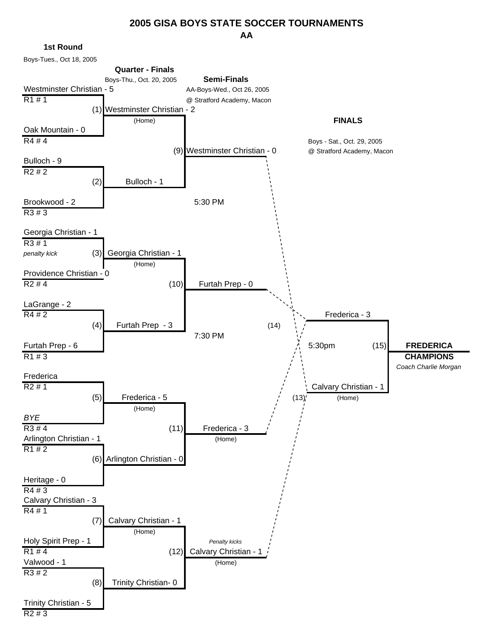#### **AA 2005 GISA BOYS STATE SOCCER TOURNAMENTS**

**1st Round**

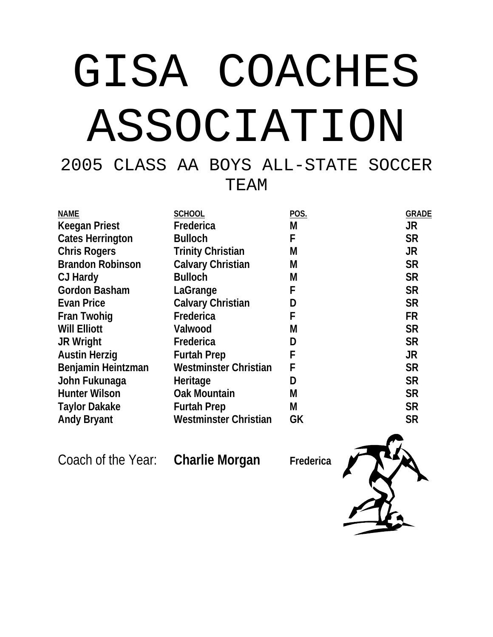# GISA COACHES ASSOCIATION

2005 CLASS AA BOYS ALL-STATE SOCCER TEAM

| <b>NAME</b>             | <b>SCHOOL</b>                | <b>POS.</b> | <b>GRADE</b> |
|-------------------------|------------------------------|-------------|--------------|
| <b>Keegan Priest</b>    | Frederica                    | М           | <b>JR</b>    |
| <b>Cates Herrington</b> | <b>Bulloch</b>               | F           | <b>SR</b>    |
| <b>Chris Rogers</b>     | <b>Trinity Christian</b>     | М           | <b>JR</b>    |
| <b>Brandon Robinson</b> | <b>Calvary Christian</b>     | M           | <b>SR</b>    |
| CJ Hardy                | <b>Bulloch</b>               | M           | <b>SR</b>    |
| <b>Gordon Basham</b>    | LaGrange                     | F           | <b>SR</b>    |
| <b>Evan Price</b>       | <b>Calvary Christian</b>     | D           | <b>SR</b>    |
| <b>Fran Twohig</b>      | Frederica                    | F           | <b>FR</b>    |
| <b>Will Elliott</b>     | Valwood                      | М           | <b>SR</b>    |
| <b>JR Wright</b>        | Frederica                    | D           | <b>SR</b>    |
| <b>Austin Herzig</b>    | <b>Furtah Prep</b>           | F           | <b>JR</b>    |
| Benjamin Heintzman      | <b>Westminster Christian</b> | F           | <b>SR</b>    |
| John Fukunaga           | Heritage                     | D           | <b>SR</b>    |
| <b>Hunter Wilson</b>    | <b>Oak Mountain</b>          | М           | <b>SR</b>    |
| <b>Taylor Dakake</b>    | <b>Furtah Prep</b>           | М           | <b>SR</b>    |
| <b>Andy Bryant</b>      | <b>Westminster Christian</b> | <b>GK</b>   | <b>SR</b>    |

Coach of the Year: **Charlie Morgan** Frederica

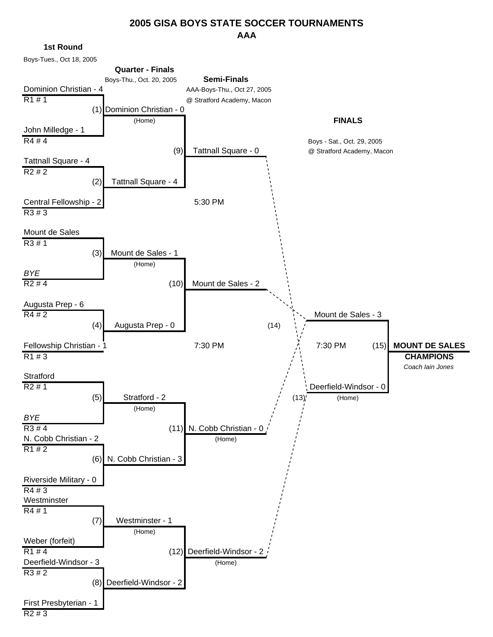#### **AAA 2005 GISA BOYS STATE SOCCER TOURNAMENTS**

**1st Round**